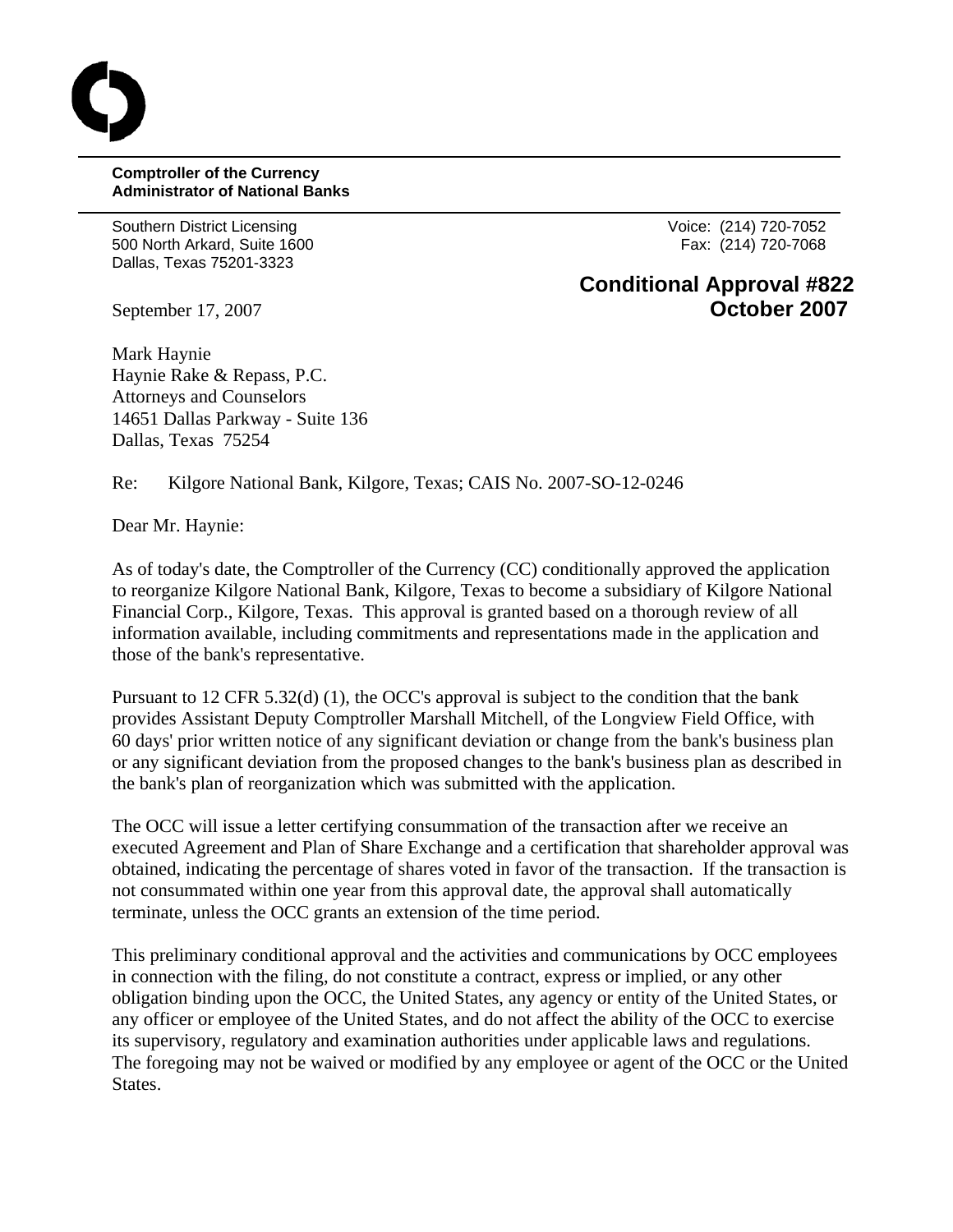## **Comptroller of the Currency Administrator of National Banks**

Southern District Licensing Voice: (214) 720-7052 500 North Arkard, Suite 1600 **Fax: (214) 720-7068** Fax: (214) 720-7068 Dallas, Texas 75201-3323

## **Conditional Approval #822** September 17, 2007 **October 2007**

Mark Haynie Haynie Rake & Repass, P.C. Attorneys and Counselors 14651 Dallas Parkway - Suite 136 Dallas, Texas 75254

Re: Kilgore National Bank, Kilgore, Texas; CAIS No. 2007-SO-12-0246

Dear Mr. Haynie:

As of today's date, the Comptroller of the Currency (CC) conditionally approved the application to reorganize Kilgore National Bank, Kilgore, Texas to become a subsidiary of Kilgore National Financial Corp., Kilgore, Texas. This approval is granted based on a thorough review of all information available, including commitments and representations made in the application and those of the bank's representative.

Pursuant to 12 CFR 5.32(d) (1), the OCC's approval is subject to the condition that the bank provides Assistant Deputy Comptroller Marshall Mitchell, of the Longview Field Office, with 60 days' prior written notice of any significant deviation or change from the bank's business plan or any significant deviation from the proposed changes to the bank's business plan as described in the bank's plan of reorganization which was submitted with the application.

The OCC will issue a letter certifying consummation of the transaction after we receive an executed Agreement and Plan of Share Exchange and a certification that shareholder approval was obtained, indicating the percentage of shares voted in favor of the transaction. If the transaction is not consummated within one year from this approval date, the approval shall automatically terminate, unless the OCC grants an extension of the time period.

This preliminary conditional approval and the activities and communications by OCC employees in connection with the filing, do not constitute a contract, express or implied, or any other obligation binding upon the OCC, the United States, any agency or entity of the United States, or any officer or employee of the United States, and do not affect the ability of the OCC to exercise its supervisory, regulatory and examination authorities under applicable laws and regulations. The foregoing may not be waived or modified by any employee or agent of the OCC or the United States.